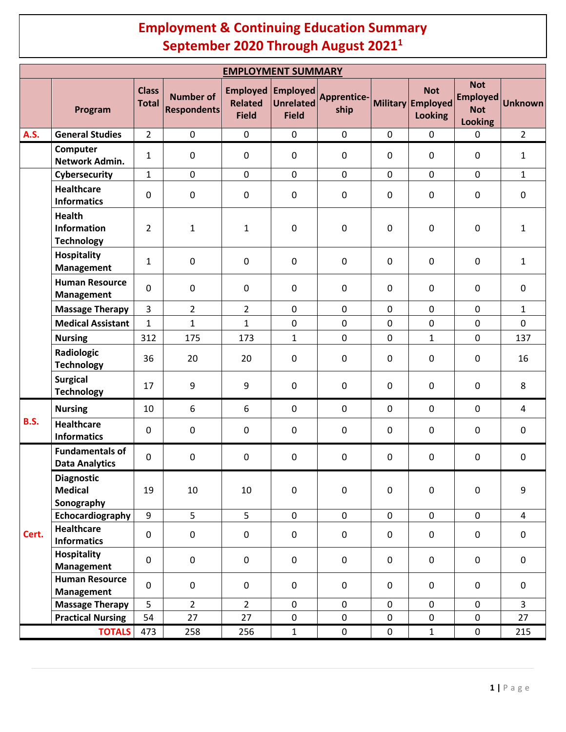## **Employment & Continuing Education Summary September 2020 Through August 20211**

| <b>EMPLOYMENT SUMMARY</b> |                                                   |                              |                                        |                                                   |                                                     |                            |                  |                                                   |                                                               |                |
|---------------------------|---------------------------------------------------|------------------------------|----------------------------------------|---------------------------------------------------|-----------------------------------------------------|----------------------------|------------------|---------------------------------------------------|---------------------------------------------------------------|----------------|
|                           | Program                                           | <b>Class</b><br><b>Total</b> | <b>Number of</b><br><b>Respondents</b> | <b>Employed</b><br><b>Related</b><br><b>Field</b> | <b>Employed</b><br><b>Unrelated</b><br><b>Field</b> | <b>Apprentice-</b><br>ship |                  | <b>Not</b><br>Military Employed<br><b>Looking</b> | <b>Not</b><br><b>Employed</b><br><b>Not</b><br><b>Looking</b> | <b>Unknown</b> |
| <b>A.S.</b>               | <b>General Studies</b>                            | $\overline{2}$               | $\mathbf 0$                            | $\mathbf 0$                                       | $\mathbf 0$                                         | $\mathbf 0$                | $\mathbf 0$      | $\mathbf 0$                                       | $\mathbf 0$                                                   | $\overline{2}$ |
|                           | Computer<br>Network Admin.                        | $\mathbf{1}$                 | $\pmb{0}$                              | 0                                                 | $\mathbf 0$                                         | 0                          | 0                | $\mathbf 0$                                       | $\mathbf 0$                                                   | $\mathbf{1}$   |
|                           | Cybersecurity                                     | $\mathbf{1}$                 | $\mathbf 0$                            | 0                                                 | $\mathbf 0$                                         | $\mathbf 0$                | $\mathbf 0$      | $\mathbf 0$                                       | $\mathbf 0$                                                   | $\mathbf{1}$   |
|                           | <b>Healthcare</b><br><b>Informatics</b>           | $\mathbf 0$                  | $\pmb{0}$                              | 0                                                 | $\pmb{0}$                                           | $\mathbf 0$                | $\boldsymbol{0}$ | $\pmb{0}$                                         | $\mathbf 0$                                                   | $\pmb{0}$      |
|                           | <b>Health</b><br>Information<br><b>Technology</b> | $\overline{2}$               | $\mathbf{1}$                           | 1                                                 | $\mathbf 0$                                         | $\mathbf 0$                | $\boldsymbol{0}$ | $\pmb{0}$                                         | $\mathbf 0$                                                   | $\mathbf{1}$   |
|                           | <b>Hospitality</b><br><b>Management</b>           | $\mathbf{1}$                 | $\pmb{0}$                              | $\mathbf 0$                                       | $\mathbf 0$                                         | 0                          | $\mathbf 0$      | $\mathbf 0$                                       | $\mathbf 0$                                                   | $\mathbf{1}$   |
|                           | <b>Human Resource</b><br>Management               | $\mathbf 0$                  | $\pmb{0}$                              | 0                                                 | $\mathbf 0$                                         | 0                          | 0                | $\mathbf 0$                                       | $\mathbf 0$                                                   | $\pmb{0}$      |
|                           | <b>Massage Therapy</b>                            | $\overline{3}$               | $\overline{2}$                         | $\overline{2}$                                    | $\mathbf 0$                                         | $\mathbf 0$                | $\mathbf 0$      | $\mathbf 0$                                       | $\mathbf 0$                                                   | $\mathbf{1}$   |
|                           | <b>Medical Assistant</b>                          | $\mathbf{1}$                 | $\mathbf{1}$                           | $\mathbf{1}$                                      | $\mathbf 0$                                         | 0                          | $\mathbf 0$      | $\pmb{0}$                                         | $\mathbf 0$                                                   | $\mathbf 0$    |
|                           | <b>Nursing</b>                                    | 312                          | 175                                    | 173                                               | $\mathbf{1}$                                        | 0                          | $\mathbf 0$      | $\mathbf{1}$                                      | $\mathbf 0$                                                   | 137            |
|                           | Radiologic<br><b>Technology</b>                   | 36                           | 20                                     | 20                                                | $\mathbf 0$                                         | 0                          | $\mathbf 0$      | $\mathbf 0$                                       | $\mathbf 0$                                                   | 16             |
|                           | <b>Surgical</b><br><b>Technology</b>              | 17                           | 9                                      | 9                                                 | $\mathbf 0$                                         | $\mathbf 0$                | $\mathbf 0$      | $\mathbf 0$                                       | $\mathbf 0$                                                   | 8              |
| <b>B.S.</b>               | <b>Nursing</b>                                    | 10                           | 6                                      | 6                                                 | $\mathbf 0$                                         | $\mathbf 0$                | $\mathbf 0$      | $\mathbf 0$                                       | $\mathbf 0$                                                   | $\overline{a}$ |
|                           | <b>Healthcare</b><br><b>Informatics</b>           | 0                            | 0                                      | $\mathbf 0$                                       | $\mathbf 0$                                         | 0                          | $\mathbf 0$      | $\mathbf 0$                                       | $\mathbf 0$                                                   | $\pmb{0}$      |
| Cert.                     | <b>Fundamentals of</b><br><b>Data Analytics</b>   | $\mathbf 0$                  | $\mathsf{O}\xspace$                    | 0                                                 | $\mathbf 0$                                         | $\pmb{0}$                  | $\mathbf 0$      | $\pmb{0}$                                         | $\mathbf 0$                                                   | $\pmb{0}$      |
|                           | <b>Diagnostic</b><br><b>Medical</b><br>Sonography | 19                           | 10                                     | 10                                                | $\pmb{0}$                                           | $\mathsf 0$                | $\mathsf 0$      | $\pmb{0}$                                         | $\mathbf 0$                                                   | 9              |
|                           | Echocardiography                                  | 9                            | 5                                      | 5                                                 | $\mathbf 0$                                         | $\mathsf{O}$               | $\mathbf 0$      | $\mathbf 0$                                       | $\mathbf 0$                                                   | $\overline{4}$ |
|                           | <b>Healthcare</b><br><b>Informatics</b>           | 0                            | $\mathbf 0$                            | $\pmb{0}$                                         | $\mathbf 0$                                         | $\mathsf 0$                | $\mathbf 0$      | $\pmb{0}$                                         | $\mathbf 0$                                                   | $\pmb{0}$      |
|                           | <b>Hospitality</b><br><b>Management</b>           | $\mathbf 0$                  | $\mathsf{O}\xspace$                    | 0                                                 | $\mathbf 0$                                         | $\mathbf 0$                | $\mathbf 0$      | $\pmb{0}$                                         | $\mathbf 0$                                                   | $\pmb{0}$      |
|                           | <b>Human Resource</b><br><b>Management</b>        | $\pmb{0}$                    | $\mathsf{O}\xspace$                    | 0                                                 | $\mathbf 0$                                         | $\mathbf 0$                | 0                | $\mathbf 0$                                       | $\mathbf 0$                                                   | $\mathbf 0$    |
|                           | <b>Massage Therapy</b>                            | 5                            | $\overline{2}$                         | $\overline{2}$                                    | $\pmb{0}$                                           | $\mathsf{O}$               | $\mathsf 0$      | $\pmb{0}$                                         | $\mathbf 0$                                                   | $\overline{3}$ |
|                           | <b>Practical Nursing</b>                          | 54                           | 27                                     | 27                                                | $\pmb{0}$                                           | 0                          | $\pmb{0}$        | $\pmb{0}$                                         | $\mathbf 0$                                                   | 27             |
| <b>TOTALS</b>             |                                                   | 473                          | 258                                    | 256                                               | $\mathbf{1}$                                        | $\mathbf 0$                | $\mathbf 0$      | $\mathbf 1$                                       | $\mathsf{O}$                                                  | 215            |